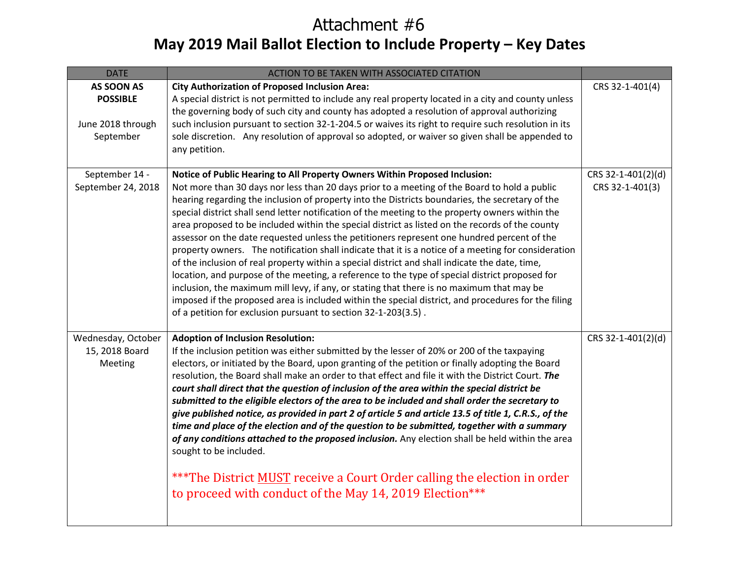## **May 2019 Mail Ballot Election to Include Property – Key Dates** Attachment #6

| <b>DATE</b>        | ACTION TO BE TAKEN WITH ASSOCIATED CITATION                                                                                                                                                          |                    |
|--------------------|------------------------------------------------------------------------------------------------------------------------------------------------------------------------------------------------------|--------------------|
| AS SOON AS         | <b>City Authorization of Proposed Inclusion Area:</b>                                                                                                                                                | CRS 32-1-401(4)    |
| <b>POSSIBLE</b>    | A special district is not permitted to include any real property located in a city and county unless                                                                                                 |                    |
|                    | the governing body of such city and county has adopted a resolution of approval authorizing                                                                                                          |                    |
| June 2018 through  | such inclusion pursuant to section 32-1-204.5 or waives its right to require such resolution in its                                                                                                  |                    |
| September          | sole discretion. Any resolution of approval so adopted, or waiver so given shall be appended to                                                                                                      |                    |
|                    | any petition.                                                                                                                                                                                        |                    |
| September 14 -     | Notice of Public Hearing to All Property Owners Within Proposed Inclusion:                                                                                                                           | CRS 32-1-401(2)(d) |
| September 24, 2018 | Not more than 30 days nor less than 20 days prior to a meeting of the Board to hold a public                                                                                                         | CRS 32-1-401(3)    |
|                    | hearing regarding the inclusion of property into the Districts boundaries, the secretary of the                                                                                                      |                    |
|                    | special district shall send letter notification of the meeting to the property owners within the                                                                                                     |                    |
|                    | area proposed to be included within the special district as listed on the records of the county                                                                                                      |                    |
|                    | assessor on the date requested unless the petitioners represent one hundred percent of the                                                                                                           |                    |
|                    | property owners. The notification shall indicate that it is a notice of a meeting for consideration                                                                                                  |                    |
|                    | of the inclusion of real property within a special district and shall indicate the date, time,                                                                                                       |                    |
|                    | location, and purpose of the meeting, a reference to the type of special district proposed for                                                                                                       |                    |
|                    | inclusion, the maximum mill levy, if any, or stating that there is no maximum that may be<br>imposed if the proposed area is included within the special district, and procedures for the filing     |                    |
|                    | of a petition for exclusion pursuant to section 32-1-203(3.5).                                                                                                                                       |                    |
|                    |                                                                                                                                                                                                      |                    |
| Wednesday, October | <b>Adoption of Inclusion Resolution:</b>                                                                                                                                                             | CRS 32-1-401(2)(d) |
| 15, 2018 Board     | If the inclusion petition was either submitted by the lesser of 20% or 200 of the taxpaying                                                                                                          |                    |
| Meeting            | electors, or initiated by the Board, upon granting of the petition or finally adopting the Board                                                                                                     |                    |
|                    | resolution, the Board shall make an order to that effect and file it with the District Court. The                                                                                                    |                    |
|                    | court shall direct that the question of inclusion of the area within the special district be                                                                                                         |                    |
|                    | submitted to the eligible electors of the area to be included and shall order the secretary to                                                                                                       |                    |
|                    | give published notice, as provided in part 2 of article 5 and article 13.5 of title 1, C.R.S., of the<br>time and place of the election and of the question to be submitted, together with a summary |                    |
|                    | of any conditions attached to the proposed inclusion. Any election shall be held within the area                                                                                                     |                    |
|                    | sought to be included.                                                                                                                                                                               |                    |
|                    |                                                                                                                                                                                                      |                    |
|                    | *** The District MUST receive a Court Order calling the election in order                                                                                                                            |                    |
|                    | to proceed with conduct of the May 14, 2019 Election***                                                                                                                                              |                    |
|                    |                                                                                                                                                                                                      |                    |
|                    |                                                                                                                                                                                                      |                    |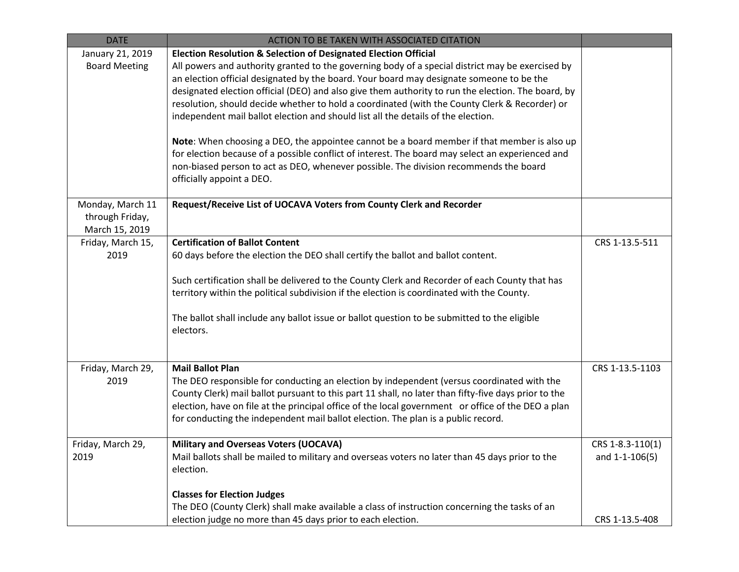| <b>DATE</b>                                           | ACTION TO BE TAKEN WITH ASSOCIATED CITATION                                                                                                                                                                                                                                                                                                                                                                                             |                                    |
|-------------------------------------------------------|-----------------------------------------------------------------------------------------------------------------------------------------------------------------------------------------------------------------------------------------------------------------------------------------------------------------------------------------------------------------------------------------------------------------------------------------|------------------------------------|
| January 21, 2019<br><b>Board Meeting</b>              | <b>Election Resolution &amp; Selection of Designated Election Official</b><br>All powers and authority granted to the governing body of a special district may be exercised by<br>an election official designated by the board. Your board may designate someone to be the<br>designated election official (DEO) and also give them authority to run the election. The board, by                                                        |                                    |
|                                                       | resolution, should decide whether to hold a coordinated (with the County Clerk & Recorder) or<br>independent mail ballot election and should list all the details of the election.                                                                                                                                                                                                                                                      |                                    |
|                                                       | Note: When choosing a DEO, the appointee cannot be a board member if that member is also up<br>for election because of a possible conflict of interest. The board may select an experienced and<br>non-biased person to act as DEO, whenever possible. The division recommends the board<br>officially appoint a DEO.                                                                                                                   |                                    |
| Monday, March 11<br>through Friday,<br>March 15, 2019 | Request/Receive List of UOCAVA Voters from County Clerk and Recorder                                                                                                                                                                                                                                                                                                                                                                    |                                    |
| Friday, March 15,<br>2019                             | <b>Certification of Ballot Content</b><br>60 days before the election the DEO shall certify the ballot and ballot content.<br>Such certification shall be delivered to the County Clerk and Recorder of each County that has<br>territory within the political subdivision if the election is coordinated with the County.<br>The ballot shall include any ballot issue or ballot question to be submitted to the eligible<br>electors. | CRS 1-13.5-511                     |
| Friday, March 29,<br>2019                             | <b>Mail Ballot Plan</b><br>The DEO responsible for conducting an election by independent (versus coordinated with the<br>County Clerk) mail ballot pursuant to this part 11 shall, no later than fifty-five days prior to the<br>election, have on file at the principal office of the local government or office of the DEO a plan<br>for conducting the independent mail ballot election. The plan is a public record.                | CRS 1-13.5-1103                    |
| Friday, March 29,<br>2019                             | Military and Overseas Voters (UOCAVA)<br>Mail ballots shall be mailed to military and overseas voters no later than 45 days prior to the<br>election.<br><b>Classes for Election Judges</b>                                                                                                                                                                                                                                             | CRS 1-8.3-110(1)<br>and 1-1-106(5) |
|                                                       | The DEO (County Clerk) shall make available a class of instruction concerning the tasks of an<br>election judge no more than 45 days prior to each election.                                                                                                                                                                                                                                                                            | CRS 1-13.5-408                     |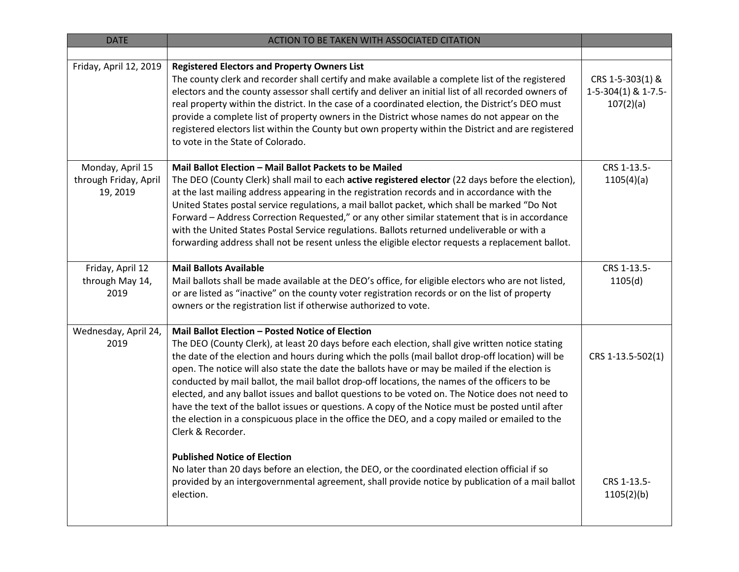| <b>DATE</b>                                           | ACTION TO BE TAKEN WITH ASSOCIATED CITATION                                                                                                                                                                                                                                                                                                                                                                                                                                                                                                                                                                                                                                                                                                                                                |                                                          |
|-------------------------------------------------------|--------------------------------------------------------------------------------------------------------------------------------------------------------------------------------------------------------------------------------------------------------------------------------------------------------------------------------------------------------------------------------------------------------------------------------------------------------------------------------------------------------------------------------------------------------------------------------------------------------------------------------------------------------------------------------------------------------------------------------------------------------------------------------------------|----------------------------------------------------------|
|                                                       |                                                                                                                                                                                                                                                                                                                                                                                                                                                                                                                                                                                                                                                                                                                                                                                            |                                                          |
| Friday, April 12, 2019                                | <b>Registered Electors and Property Owners List</b><br>The county clerk and recorder shall certify and make available a complete list of the registered<br>electors and the county assessor shall certify and deliver an initial list of all recorded owners of<br>real property within the district. In the case of a coordinated election, the District's DEO must<br>provide a complete list of property owners in the District whose names do not appear on the<br>registered electors list within the County but own property within the District and are registered<br>to vote in the State of Colorado.                                                                                                                                                                             | CRS 1-5-303(1) &<br>$1-5-304(1)$ & $1-7.5-$<br>107(2)(a) |
| Monday, April 15<br>through Friday, April<br>19, 2019 | Mail Ballot Election - Mail Ballot Packets to be Mailed<br>The DEO (County Clerk) shall mail to each active registered elector (22 days before the election),<br>at the last mailing address appearing in the registration records and in accordance with the<br>United States postal service regulations, a mail ballot packet, which shall be marked "Do Not<br>Forward - Address Correction Requested," or any other similar statement that is in accordance<br>with the United States Postal Service regulations. Ballots returned undeliverable or with a<br>forwarding address shall not be resent unless the eligible elector requests a replacement ballot.                                                                                                                        | CRS 1-13.5-<br>1105(4)(a)                                |
| Friday, April 12<br>through May 14,<br>2019           | <b>Mail Ballots Available</b><br>Mail ballots shall be made available at the DEO's office, for eligible electors who are not listed,<br>or are listed as "inactive" on the county voter registration records or on the list of property<br>owners or the registration list if otherwise authorized to vote.                                                                                                                                                                                                                                                                                                                                                                                                                                                                                | CRS 1-13.5-<br>1105(d)                                   |
| Wednesday, April 24,<br>2019                          | Mail Ballot Election - Posted Notice of Election<br>The DEO (County Clerk), at least 20 days before each election, shall give written notice stating<br>the date of the election and hours during which the polls (mail ballot drop-off location) will be<br>open. The notice will also state the date the ballots have or may be mailed if the election is<br>conducted by mail ballot, the mail ballot drop-off locations, the names of the officers to be<br>elected, and any ballot issues and ballot questions to be voted on. The Notice does not need to<br>have the text of the ballot issues or questions. A copy of the Notice must be posted until after<br>the election in a conspicuous place in the office the DEO, and a copy mailed or emailed to the<br>Clerk & Recorder. | CRS 1-13.5-502(1)                                        |
|                                                       | <b>Published Notice of Election</b><br>No later than 20 days before an election, the DEO, or the coordinated election official if so<br>provided by an intergovernmental agreement, shall provide notice by publication of a mail ballot<br>election.                                                                                                                                                                                                                                                                                                                                                                                                                                                                                                                                      | CRS 1-13.5-<br>1105(2)(b)                                |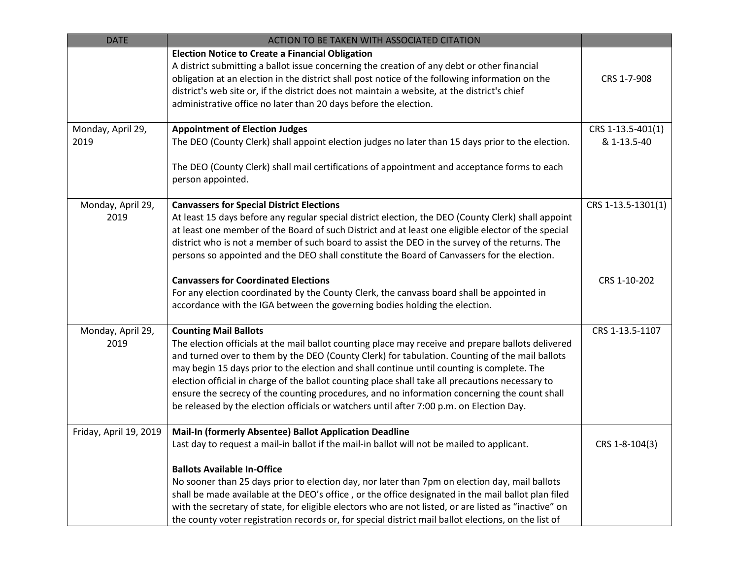| <b>DATE</b>            | ACTION TO BE TAKEN WITH ASSOCIATED CITATION                                                                                                                                                                                                                                                                                                                                                                                   |                    |
|------------------------|-------------------------------------------------------------------------------------------------------------------------------------------------------------------------------------------------------------------------------------------------------------------------------------------------------------------------------------------------------------------------------------------------------------------------------|--------------------|
|                        | <b>Election Notice to Create a Financial Obligation</b><br>A district submitting a ballot issue concerning the creation of any debt or other financial<br>obligation at an election in the district shall post notice of the following information on the<br>district's web site or, if the district does not maintain a website, at the district's chief<br>administrative office no later than 20 days before the election. | CRS 1-7-908        |
| Monday, April 29,      | <b>Appointment of Election Judges</b>                                                                                                                                                                                                                                                                                                                                                                                         | CRS 1-13.5-401(1)  |
| 2019                   | The DEO (County Clerk) shall appoint election judges no later than 15 days prior to the election.                                                                                                                                                                                                                                                                                                                             | & 1-13.5-40        |
|                        | The DEO (County Clerk) shall mail certifications of appointment and acceptance forms to each<br>person appointed.                                                                                                                                                                                                                                                                                                             |                    |
| Monday, April 29,      | <b>Canvassers for Special District Elections</b>                                                                                                                                                                                                                                                                                                                                                                              | CRS 1-13.5-1301(1) |
| 2019                   | At least 15 days before any regular special district election, the DEO (County Clerk) shall appoint<br>at least one member of the Board of such District and at least one eligible elector of the special                                                                                                                                                                                                                     |                    |
|                        | district who is not a member of such board to assist the DEO in the survey of the returns. The                                                                                                                                                                                                                                                                                                                                |                    |
|                        | persons so appointed and the DEO shall constitute the Board of Canvassers for the election.                                                                                                                                                                                                                                                                                                                                   |                    |
|                        | <b>Canvassers for Coordinated Elections</b>                                                                                                                                                                                                                                                                                                                                                                                   | CRS 1-10-202       |
|                        | For any election coordinated by the County Clerk, the canvass board shall be appointed in                                                                                                                                                                                                                                                                                                                                     |                    |
|                        | accordance with the IGA between the governing bodies holding the election.                                                                                                                                                                                                                                                                                                                                                    |                    |
| Monday, April 29,      | <b>Counting Mail Ballots</b>                                                                                                                                                                                                                                                                                                                                                                                                  | CRS 1-13.5-1107    |
| 2019                   | The election officials at the mail ballot counting place may receive and prepare ballots delivered                                                                                                                                                                                                                                                                                                                            |                    |
|                        | and turned over to them by the DEO (County Clerk) for tabulation. Counting of the mail ballots                                                                                                                                                                                                                                                                                                                                |                    |
|                        | may begin 15 days prior to the election and shall continue until counting is complete. The<br>election official in charge of the ballot counting place shall take all precautions necessary to                                                                                                                                                                                                                                |                    |
|                        | ensure the secrecy of the counting procedures, and no information concerning the count shall                                                                                                                                                                                                                                                                                                                                  |                    |
|                        | be released by the election officials or watchers until after 7:00 p.m. on Election Day.                                                                                                                                                                                                                                                                                                                                      |                    |
| Friday, April 19, 2019 | Mail-In (formerly Absentee) Ballot Application Deadline                                                                                                                                                                                                                                                                                                                                                                       |                    |
|                        | Last day to request a mail-in ballot if the mail-in ballot will not be mailed to applicant.                                                                                                                                                                                                                                                                                                                                   | CRS 1-8-104(3)     |
|                        | <b>Ballots Available In-Office</b>                                                                                                                                                                                                                                                                                                                                                                                            |                    |
|                        | No sooner than 25 days prior to election day, nor later than 7pm on election day, mail ballots                                                                                                                                                                                                                                                                                                                                |                    |
|                        | shall be made available at the DEO's office, or the office designated in the mail ballot plan filed                                                                                                                                                                                                                                                                                                                           |                    |
|                        | with the secretary of state, for eligible electors who are not listed, or are listed as "inactive" on<br>the county voter registration records or, for special district mail ballot elections, on the list of                                                                                                                                                                                                                 |                    |